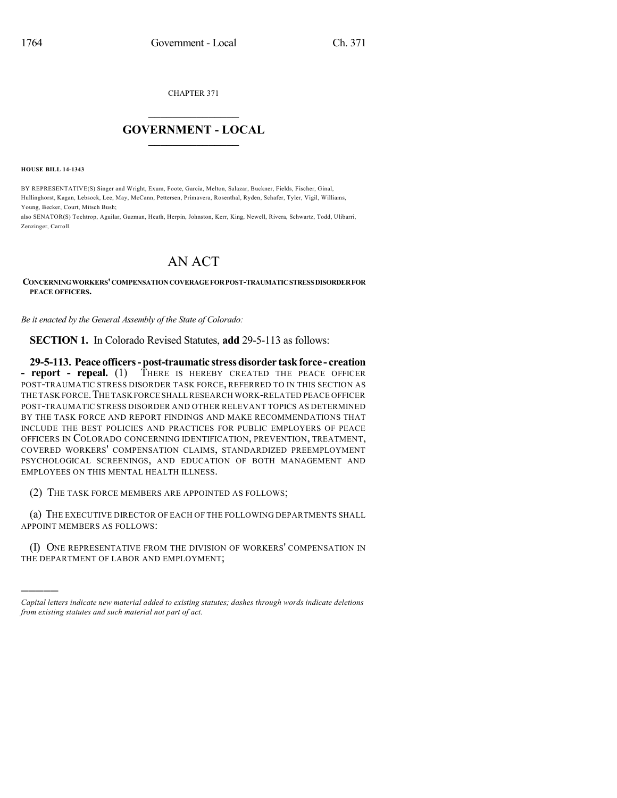CHAPTER 371

## $\overline{\phantom{a}}$  . The set of the set of the set of the set of the set of the set of the set of the set of the set of the set of the set of the set of the set of the set of the set of the set of the set of the set of the set o **GOVERNMENT - LOCAL**  $\_$

**HOUSE BILL 14-1343**

)))))

BY REPRESENTATIVE(S) Singer and Wright, Exum, Foote, Garcia, Melton, Salazar, Buckner, Fields, Fischer, Ginal, Hullinghorst, Kagan, Lebsock, Lee, May, McCann, Pettersen, Primavera, Rosenthal, Ryden, Schafer, Tyler, Vigil, Williams, Young, Becker, Court, Mitsch Bush;

also SENATOR(S) Tochtrop, Aguilar, Guzman, Heath, Herpin, Johnston, Kerr, King, Newell, Rivera, Schwartz, Todd, Ulibarri, Zenzinger, Carroll.

## AN ACT

**CONCERNINGWORKERS'COMPENSATIONCOVERAGEFORPOST-TRAUMATICSTRESSDISORDERFOR PEACE OFFICERS.**

*Be it enacted by the General Assembly of the State of Colorado:*

**SECTION 1.** In Colorado Revised Statutes, **add** 29-5-113 as follows:

**29-5-113. Peace officers-post-traumatic stressdisorder taskforce - creation - report - repeal.** (1) THERE IS HEREBY CREATED THE PEACE OFFICER POST-TRAUMATIC STRESS DISORDER TASK FORCE, REFERRED TO IN THIS SECTION AS THE TASK FORCE.THE TASK FORCE SHALL RESEARCH WORK-RELATED PEACE OFFICER POST-TRAUMATIC STRESS DISORDER AND OTHER RELEVANT TOPICS AS DETERMINED BY THE TASK FORCE AND REPORT FINDINGS AND MAKE RECOMMENDATIONS THAT INCLUDE THE BEST POLICIES AND PRACTICES FOR PUBLIC EMPLOYERS OF PEACE OFFICERS IN COLORADO CONCERNING IDENTIFICATION, PREVENTION, TREATMENT, COVERED WORKERS' COMPENSATION CLAIMS, STANDARDIZED PREEMPLOYMENT PSYCHOLOGICAL SCREENINGS, AND EDUCATION OF BOTH MANAGEMENT AND EMPLOYEES ON THIS MENTAL HEALTH ILLNESS.

(2) THE TASK FORCE MEMBERS ARE APPOINTED AS FOLLOWS;

(a) THE EXECUTIVE DIRECTOR OF EACH OF THE FOLLOWING DEPARTMENTS SHALL APPOINT MEMBERS AS FOLLOWS:

(I) ONE REPRESENTATIVE FROM THE DIVISION OF WORKERS' COMPENSATION IN THE DEPARTMENT OF LABOR AND EMPLOYMENT;

*Capital letters indicate new material added to existing statutes; dashes through words indicate deletions from existing statutes and such material not part of act.*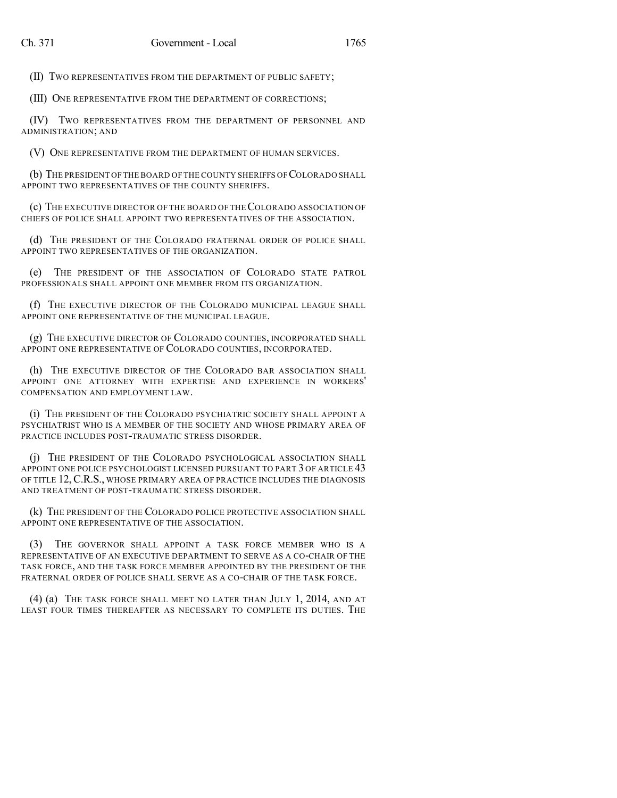(II) TWO REPRESENTATIVES FROM THE DEPARTMENT OF PUBLIC SAFETY;

(III) ONE REPRESENTATIVE FROM THE DEPARTMENT OF CORRECTIONS;

(IV) TWO REPRESENTATIVES FROM THE DEPARTMENT OF PERSONNEL AND ADMINISTRATION; AND

(V) ONE REPRESENTATIVE FROM THE DEPARTMENT OF HUMAN SERVICES.

(b) THE PRESIDENT OFTHE BOARD OF THE COUNTY SHERIFFS OF COLORADO SHALL APPOINT TWO REPRESENTATIVES OF THE COUNTY SHERIFFS.

(c) THE EXECUTIVE DIRECTOR OF THE BOARD OF THECOLORADO ASSOCIATION OF CHIEFS OF POLICE SHALL APPOINT TWO REPRESENTATIVES OF THE ASSOCIATION.

(d) THE PRESIDENT OF THE COLORADO FRATERNAL ORDER OF POLICE SHALL APPOINT TWO REPRESENTATIVES OF THE ORGANIZATION.

(e) THE PRESIDENT OF THE ASSOCIATION OF COLORADO STATE PATROL PROFESSIONALS SHALL APPOINT ONE MEMBER FROM ITS ORGANIZATION.

(f) THE EXECUTIVE DIRECTOR OF THE COLORADO MUNICIPAL LEAGUE SHALL APPOINT ONE REPRESENTATIVE OF THE MUNICIPAL LEAGUE.

(g) THE EXECUTIVE DIRECTOR OF COLORADO COUNTIES, INCORPORATED SHALL APPOINT ONE REPRESENTATIVE OF COLORADO COUNTIES, INCORPORATED.

(h) THE EXECUTIVE DIRECTOR OF THE COLORADO BAR ASSOCIATION SHALL APPOINT ONE ATTORNEY WITH EXPERTISE AND EXPERIENCE IN WORKERS' COMPENSATION AND EMPLOYMENT LAW.

(i) THE PRESIDENT OF THE COLORADO PSYCHIATRIC SOCIETY SHALL APPOINT A PSYCHIATRIST WHO IS A MEMBER OF THE SOCIETY AND WHOSE PRIMARY AREA OF PRACTICE INCLUDES POST-TRAUMATIC STRESS DISORDER.

(j) THE PRESIDENT OF THE COLORADO PSYCHOLOGICAL ASSOCIATION SHALL APPOINT ONE POLICE PSYCHOLOGIST LICENSED PURSUANT TO PART 3 OF ARTICLE 43 OF TITLE 12,C.R.S., WHOSE PRIMARY AREA OF PRACTICE INCLUDES THE DIAGNOSIS AND TREATMENT OF POST-TRAUMATIC STRESS DISORDER.

(k) THE PRESIDENT OF THE COLORADO POLICE PROTECTIVE ASSOCIATION SHALL APPOINT ONE REPRESENTATIVE OF THE ASSOCIATION.

(3) THE GOVERNOR SHALL APPOINT A TASK FORCE MEMBER WHO IS A REPRESENTATIVE OF AN EXECUTIVE DEPARTMENT TO SERVE AS A CO-CHAIR OF THE TASK FORCE, AND THE TASK FORCE MEMBER APPOINTED BY THE PRESIDENT OF THE FRATERNAL ORDER OF POLICE SHALL SERVE AS A CO-CHAIR OF THE TASK FORCE.

(4) (a) THE TASK FORCE SHALL MEET NO LATER THAN JULY 1, 2014, AND AT LEAST FOUR TIMES THEREAFTER AS NECESSARY TO COMPLETE ITS DUTIES. THE